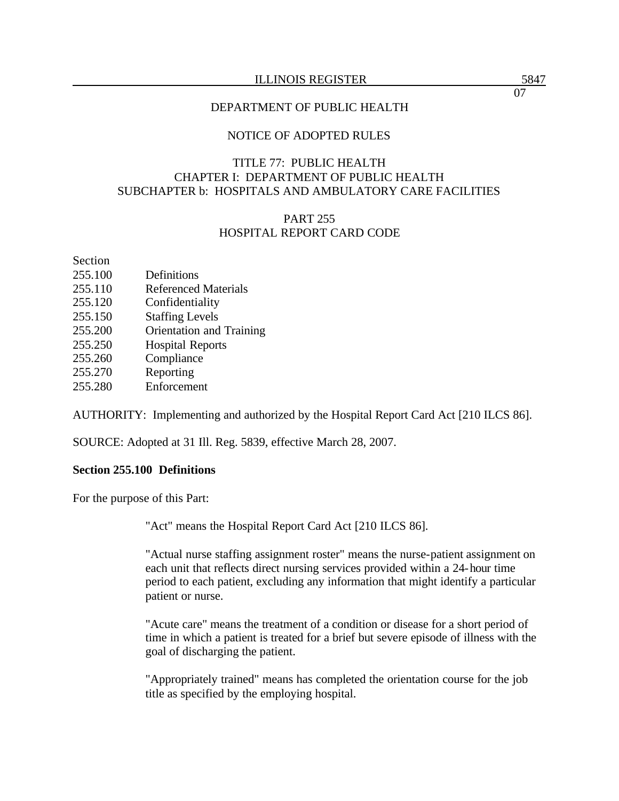#### ILLINOIS REGISTER 5847

#### DEPARTMENT OF PUBLIC HEALTH

### NOTICE OF ADOPTED RULES

## TITLE 77: PUBLIC HEALTH CHAPTER I: DEPARTMENT OF PUBLIC HEALTH SUBCHAPTER b: HOSPITALS AND AMBULATORY CARE FACILITIES

## PART 255 HOSPITAL REPORT CARD CODE

Section

- 255.100 Definitions
- 255.110 Referenced Materials
- 255.120 Confidentiality
- 255.150 Staffing Levels
- 255.200 Orientation and Training
- 255.250 Hospital Reports
- 255.260 Compliance
- 255.270 Reporting
- 255.280 Enforcement

AUTHORITY: Implementing and authorized by the Hospital Report Card Act [210 ILCS 86].

SOURCE: Adopted at 31 Ill. Reg. 5839, effective March 28, 2007.

#### **Section 255.100 Definitions**

For the purpose of this Part:

"Act" means the Hospital Report Card Act [210 ILCS 86].

"Actual nurse staffing assignment roster" means the nurse-patient assignment on each unit that reflects direct nursing services provided within a 24-hour time period to each patient, excluding any information that might identify a particular patient or nurse.

"Acute care" means the treatment of a condition or disease for a short period of time in which a patient is treated for a brief but severe episode of illness with the goal of discharging the patient.

"Appropriately trained" means has completed the orientation course for the job title as specified by the employing hospital.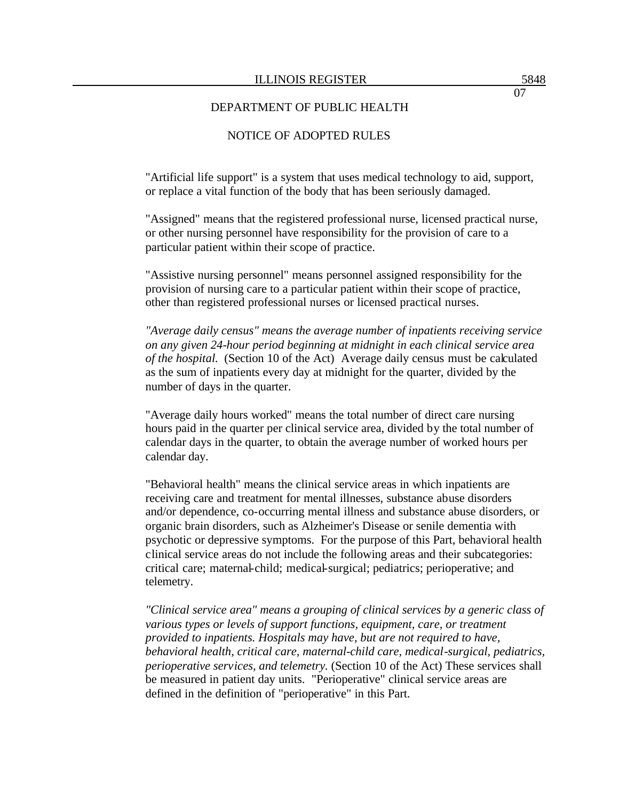## NOTICE OF ADOPTED RULES

"Artificial life support" is a system that uses medical technology to aid, support, or replace a vital function of the body that has been seriously damaged.

"Assigned" means that the registered professional nurse, licensed practical nurse, or other nursing personnel have responsibility for the provision of care to a particular patient within their scope of practice.

"Assistive nursing personnel" means personnel assigned responsibility for the provision of nursing care to a particular patient within their scope of practice, other than registered professional nurses or licensed practical nurses.

*"Average daily census" means the average number of inpatients receiving service on any given 24-hour period beginning at midnight in each clinical service area of the hospital.* (Section 10 of the Act)Average daily census must be calculated as the sum of inpatients every day at midnight for the quarter, divided by the number of days in the quarter.

"Average daily hours worked" means the total number of direct care nursing hours paid in the quarter per clinical service area, divided by the total number of calendar days in the quarter, to obtain the average number of worked hours per calendar day.

"Behavioral health" means the clinical service areas in which inpatients are receiving care and treatment for mental illnesses, substance abuse disorders and/or dependence, co-occurring mental illness and substance abuse disorders, or organic brain disorders, such as Alzheimer's Disease or senile dementia with psychotic or depressive symptoms. For the purpose of this Part, behavioral health clinical service areas do not include the following areas and their subcategories: critical care; maternal-child; medical-surgical; pediatrics; perioperative; and telemetry.

*"Clinical service area" means a grouping of clinical services by a generic class of various types or levels of support functions, equipment, care, or treatment provided to inpatients. Hospitals may have, but are not required to have, behavioral health, critical care, maternal-child care, medical-surgical, pediatrics, perioperative services, and telemetry.* (Section 10 of the Act) These services shall be measured in patient day units. "Perioperative" clinical service areas are defined in the definition of "perioperative" in this Part.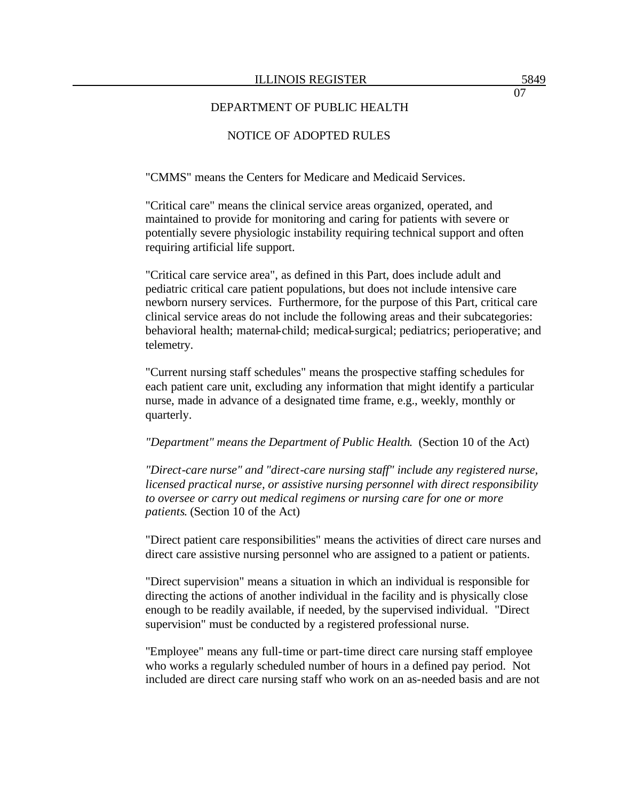## NOTICE OF ADOPTED RULES

"CMMS" means the Centers for Medicare and Medicaid Services.

"Critical care" means the clinical service areas organized, operated, and maintained to provide for monitoring and caring for patients with severe or potentially severe physiologic instability requiring technical support and often requiring artificial life support.

"Critical care service area", as defined in this Part, does include adult and pediatric critical care patient populations, but does not include intensive care newborn nursery services. Furthermore, for the purpose of this Part, critical care clinical service areas do not include the following areas and their subcategories: behavioral health; maternal-child; medical-surgical; pediatrics; perioperative; and telemetry.

"Current nursing staff schedules" means the prospective staffing schedules for each patient care unit, excluding any information that might identify a particular nurse, made in advance of a designated time frame, e.g., weekly, monthly or quarterly.

*"Department" means the Department of Public Health*. (Section 10 of the Act)

*"Direct-care nurse" and "direct-care nursing staff" include any registered nurse, licensed practical nurse, or assistive nursing personnel with direct responsibility to oversee or carry out medical regimens or nursing care for one or more patients*. (Section 10 of the Act)

"Direct patient care responsibilities" means the activities of direct care nurses and direct care assistive nursing personnel who are assigned to a patient or patients.

"Direct supervision" means a situation in which an individual is responsible for directing the actions of another individual in the facility and is physically close enough to be readily available, if needed, by the supervised individual. "Direct supervision" must be conducted by a registered professional nurse.

"Employee" means any full-time or part-time direct care nursing staff employee who works a regularly scheduled number of hours in a defined pay period. Not included are direct care nursing staff who work on an as-needed basis and are not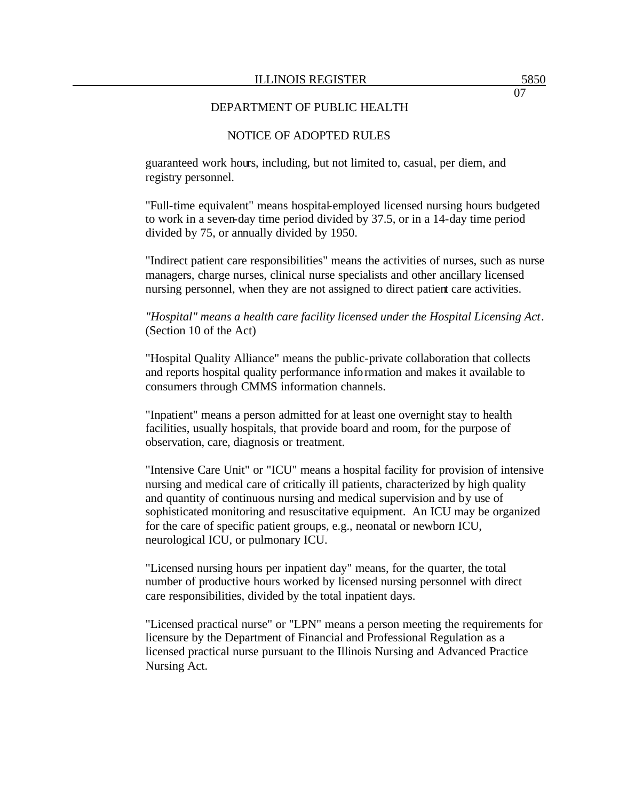### NOTICE OF ADOPTED RULES

guaranteed work hours, including, but not limited to, casual, per diem, and registry personnel.

"Full-time equivalent" means hospital-employed licensed nursing hours budgeted to work in a seven-day time period divided by 37.5, or in a 14-day time period divided by 75, or annually divided by 1950.

"Indirect patient care responsibilities" means the activities of nurses, such as nurse managers, charge nurses, clinical nurse specialists and other ancillary licensed nursing personnel, when they are not assigned to direct patient care activities.

## *"Hospital" means a health care facility licensed under the Hospital Licensing Act*. (Section 10 of the Act)

"Hospital Quality Alliance" means the public-private collaboration that collects and reports hospital quality performance information and makes it available to consumers through CMMS information channels.

"Inpatient" means a person admitted for at least one overnight stay to health facilities, usually hospitals, that provide board and room, for the purpose of observation, care, diagnosis or treatment.

"Intensive Care Unit" or "ICU" means a hospital facility for provision of intensive nursing and medical care of critically ill patients, characterized by high quality and quantity of continuous nursing and medical supervision and by use of sophisticated monitoring and resuscitative equipment. An ICU may be organized for the care of specific patient groups, e.g., neonatal or newborn ICU, neurological ICU, or pulmonary ICU.

"Licensed nursing hours per inpatient day" means, for the quarter, the total number of productive hours worked by licensed nursing personnel with direct care responsibilities, divided by the total inpatient days.

"Licensed practical nurse" or "LPN" means a person meeting the requirements for licensure by the Department of Financial and Professional Regulation as a licensed practical nurse pursuant to the Illinois Nursing and Advanced Practice Nursing Act.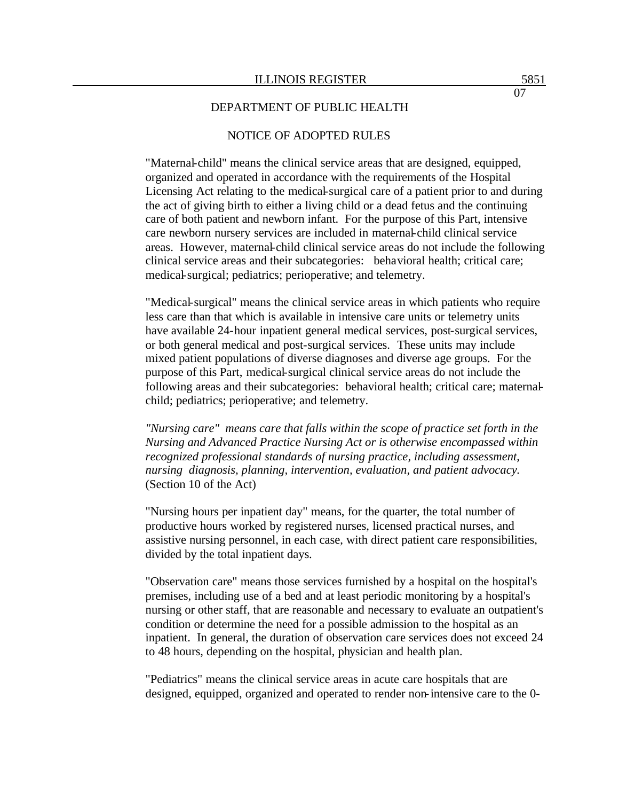## NOTICE OF ADOPTED RULES

"Maternal-child" means the clinical service areas that are designed, equipped, organized and operated in accordance with the requirements of the Hospital Licensing Act relating to the medical-surgical care of a patient prior to and during the act of giving birth to either a living child or a dead fetus and the continuing care of both patient and newborn infant. For the purpose of this Part, intensive care newborn nursery services are included in maternal-child clinical service areas. However, maternal-child clinical service areas do not include the following clinical service areas and their subcategories: behavioral health; critical care; medical-surgical; pediatrics; perioperative; and telemetry.

"Medical-surgical" means the clinical service areas in which patients who require less care than that which is available in intensive care units or telemetry units have available 24-hour inpatient general medical services, post-surgical services, or both general medical and post-surgical services. These units may include mixed patient populations of diverse diagnoses and diverse age groups. For the purpose of this Part, medical-surgical clinical service areas do not include the following areas and their subcategories: behavioral health; critical care; maternalchild; pediatrics; perioperative; and telemetry.

*"Nursing care" means care that falls within the scope of practice set forth in the Nursing and Advanced Practice Nursing Act or is otherwise encompassed within recognized professional standards of nursing practice, including assessment, nursing diagnosis, planning, intervention, evaluation, and patient advocacy.*  (Section 10 of the Act)

"Nursing hours per inpatient day" means, for the quarter, the total number of productive hours worked by registered nurses, licensed practical nurses, and assistive nursing personnel, in each case, with direct patient care responsibilities, divided by the total inpatient days.

"Observation care" means those services furnished by a hospital on the hospital's premises, including use of a bed and at least periodic monitoring by a hospital's nursing or other staff, that are reasonable and necessary to evaluate an outpatient's condition or determine the need for a possible admission to the hospital as an inpatient. In general, the duration of observation care services does not exceed 24 to 48 hours, depending on the hospital, physician and health plan.

"Pediatrics" means the clinical service areas in acute care hospitals that are designed, equipped, organized and operated to render non-intensive care to the 0-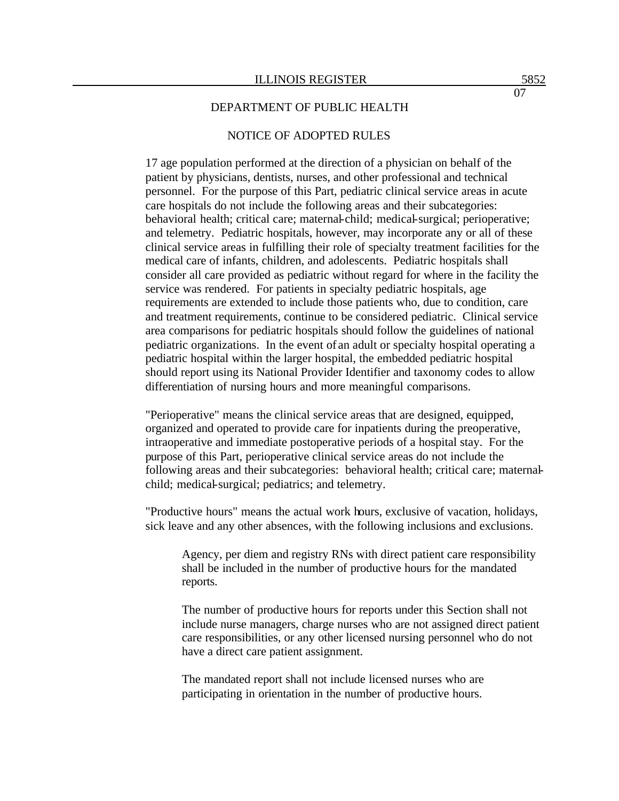## NOTICE OF ADOPTED RULES

17 age population performed at the direction of a physician on behalf of the patient by physicians, dentists, nurses, and other professional and technical personnel. For the purpose of this Part, pediatric clinical service areas in acute care hospitals do not include the following areas and their subcategories: behavioral health; critical care; maternal-child; medical-surgical; perioperative; and telemetry. Pediatric hospitals, however, may incorporate any or all of these clinical service areas in fulfilling their role of specialty treatment facilities for the medical care of infants, children, and adolescents. Pediatric hospitals shall consider all care provided as pediatric without regard for where in the facility the service was rendered. For patients in specialty pediatric hospitals, age requirements are extended to include those patients who, due to condition, care and treatment requirements, continue to be considered pediatric. Clinical service area comparisons for pediatric hospitals should follow the guidelines of national pediatric organizations. In the event of an adult or specialty hospital operating a pediatric hospital within the larger hospital, the embedded pediatric hospital should report using its National Provider Identifier and taxonomy codes to allow differentiation of nursing hours and more meaningful comparisons.

"Perioperative" means the clinical service areas that are designed, equipped, organized and operated to provide care for inpatients during the preoperative, intraoperative and immediate postoperative periods of a hospital stay. For the purpose of this Part, perioperative clinical service areas do not include the following areas and their subcategories: behavioral health; critical care; maternalchild; medical-surgical; pediatrics; and telemetry.

"Productive hours" means the actual work hours, exclusive of vacation, holidays, sick leave and any other absences, with the following inclusions and exclusions.

Agency, per diem and registry RNs with direct patient care responsibility shall be included in the number of productive hours for the mandated reports.

The number of productive hours for reports under this Section shall not include nurse managers, charge nurses who are not assigned direct patient care responsibilities, or any other licensed nursing personnel who do not have a direct care patient assignment.

The mandated report shall not include licensed nurses who are participating in orientation in the number of productive hours.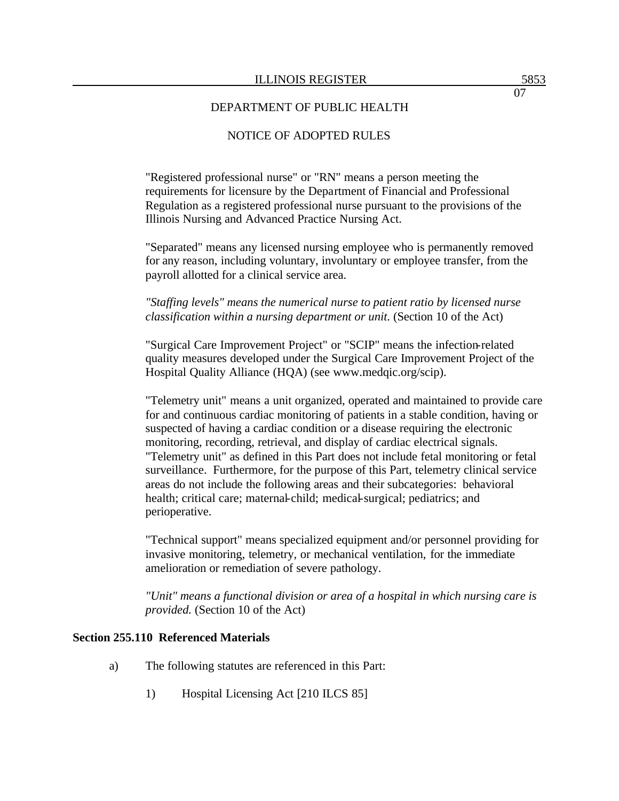## NOTICE OF ADOPTED RULES

"Registered professional nurse" or "RN" means a person meeting the requirements for licensure by the Department of Financial and Professional Regulation as a registered professional nurse pursuant to the provisions of the Illinois Nursing and Advanced Practice Nursing Act.

"Separated" means any licensed nursing employee who is permanently removed for any reason, including voluntary, involuntary or employee transfer, from the payroll allotted for a clinical service area.

*"Staffing levels" means the numerical nurse to patient ratio by licensed nurse classification within a nursing department or unit.* (Section 10 of the Act)

"Surgical Care Improvement Project" or "SCIP" means the infection-related quality measures developed under the Surgical Care Improvement Project of the Hospital Quality Alliance (HQA) (see www.medqic.org/scip).

"Telemetry unit" means a unit organized, operated and maintained to provide care for and continuous cardiac monitoring of patients in a stable condition, having or suspected of having a cardiac condition or a disease requiring the electronic monitoring, recording, retrieval, and display of cardiac electrical signals. "Telemetry unit" as defined in this Part does not include fetal monitoring or fetal surveillance. Furthermore, for the purpose of this Part, telemetry clinical service areas do not include the following areas and their subcategories: behavioral health; critical care; maternal-child; medical-surgical; pediatrics; and perioperative.

"Technical support" means specialized equipment and/or personnel providing for invasive monitoring, telemetry, or mechanical ventilation, for the immediate amelioration or remediation of severe pathology.

*"Unit" means a functional division or area of a hospital in which nursing care is provided.* (Section 10 of the Act)

#### **Section 255.110 Referenced Materials**

- a) The following statutes are referenced in this Part:
	- 1) Hospital Licensing Act [210 ILCS 85]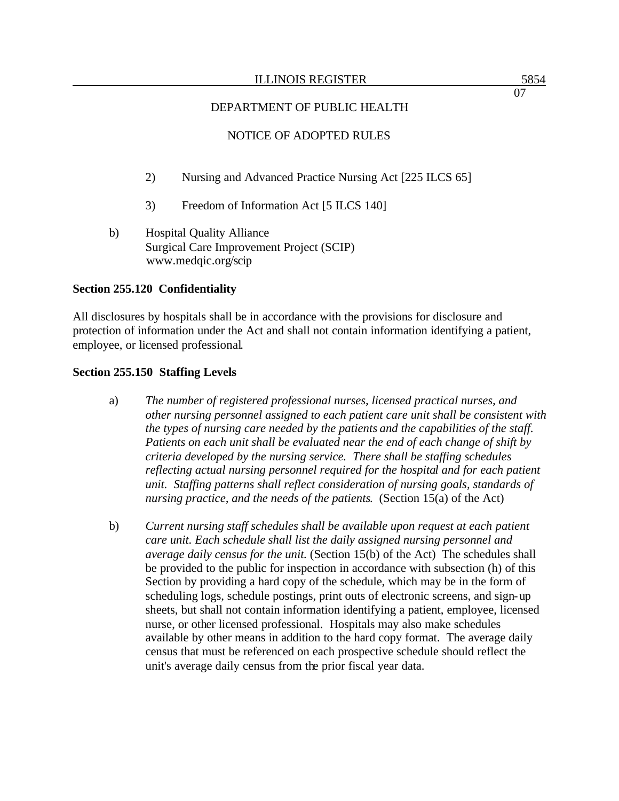## NOTICE OF ADOPTED RULES

- 2) Nursing and Advanced Practice Nursing Act [225 ILCS 65]
- 3) Freedom of Information Act [5 ILCS 140]
- b) Hospital Quality Alliance Surgical Care Improvement Project (SCIP) www.medqic.org/scip

#### **Section 255.120 Confidentiality**

All disclosures by hospitals shall be in accordance with the provisions for disclosure and protection of information under the Act and shall not contain information identifying a patient, employee, or licensed professional.

#### **Section 255.150 Staffing Levels**

- a) *The number of registered professional nurses, licensed practical nurses, and other nursing personnel assigned to each patient care unit shall be consistent with the types of nursing care needed by the patients and the capabilities of the staff. Patients on each unit shall be evaluated near the end of each change of shift by criteria developed by the nursing service. There shall be staffing schedules reflecting actual nursing personnel required for the hospital and for each patient unit. Staffing patterns shall reflect consideration of nursing goals, standards of nursing practice, and the needs of the patients*. (Section 15(a) of the Act)
- b) *Current nursing staff schedules shall be available upon request at each patient care unit. Each schedule shall list the daily assigned nursing personnel and average daily census for the unit.* (Section 15(b) of the Act)The schedules shall be provided to the public for inspection in accordance with subsection (h) of this Section by providing a hard copy of the schedule, which may be in the form of scheduling logs, schedule postings, print outs of electronic screens, and sign-up sheets, but shall not contain information identifying a patient, employee, licensed nurse, or other licensed professional. Hospitals may also make schedules available by other means in addition to the hard copy format. The average daily census that must be referenced on each prospective schedule should reflect the unit's average daily census from the prior fiscal year data.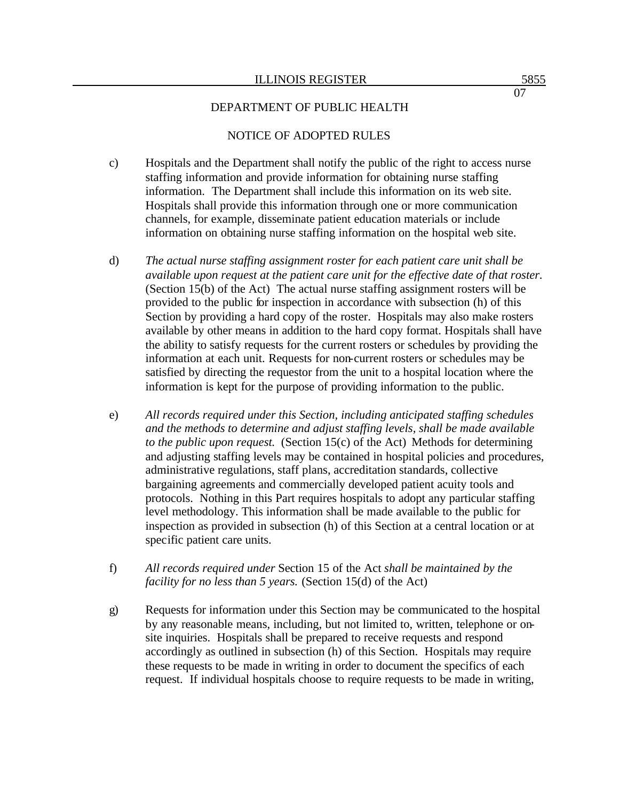## NOTICE OF ADOPTED RULES

- c) Hospitals and the Department shall notify the public of the right to access nurse staffing information and provide information for obtaining nurse staffing information. The Department shall include this information on its web site. Hospitals shall provide this information through one or more communication channels, for example, disseminate patient education materials or include information on obtaining nurse staffing information on the hospital web site.
- d) *The actual nurse staffing assignment roster for each patient care unit shall be available upon request at the patient care unit for the effective date of that roster.*  (Section 15(b) of the Act)The actual nurse staffing assignment rosters will be provided to the public for inspection in accordance with subsection (h) of this Section by providing a hard copy of the roster. Hospitals may also make rosters available by other means in addition to the hard copy format. Hospitals shall have the ability to satisfy requests for the current rosters or schedules by providing the information at each unit. Requests for non-current rosters or schedules may be satisfied by directing the requestor from the unit to a hospital location where the information is kept for the purpose of providing information to the public.
- e) *All records required under this Section, including anticipated staffing schedules and the methods to determine and adjust staffing levels, shall be made available to the public upon request.* (Section 15(c) of the Act) Methods for determining and adjusting staffing levels may be contained in hospital policies and procedures, administrative regulations, staff plans, accreditation standards, collective bargaining agreements and commercially developed patient acuity tools and protocols. Nothing in this Part requires hospitals to adopt any particular staffing level methodology. This information shall be made available to the public for inspection as provided in subsection (h) of this Section at a central location or at specific patient care units.
- f) *All records required under* Section 15 of the Act *shall be maintained by the facility for no less than 5 years.* (Section 15(d) of the Act)
- g) Requests for information under this Section may be communicated to the hospital by any reasonable means, including, but not limited to, written, telephone or onsite inquiries. Hospitals shall be prepared to receive requests and respond accordingly as outlined in subsection (h) of this Section. Hospitals may require these requests to be made in writing in order to document the specifics of each request. If individual hospitals choose to require requests to be made in writing,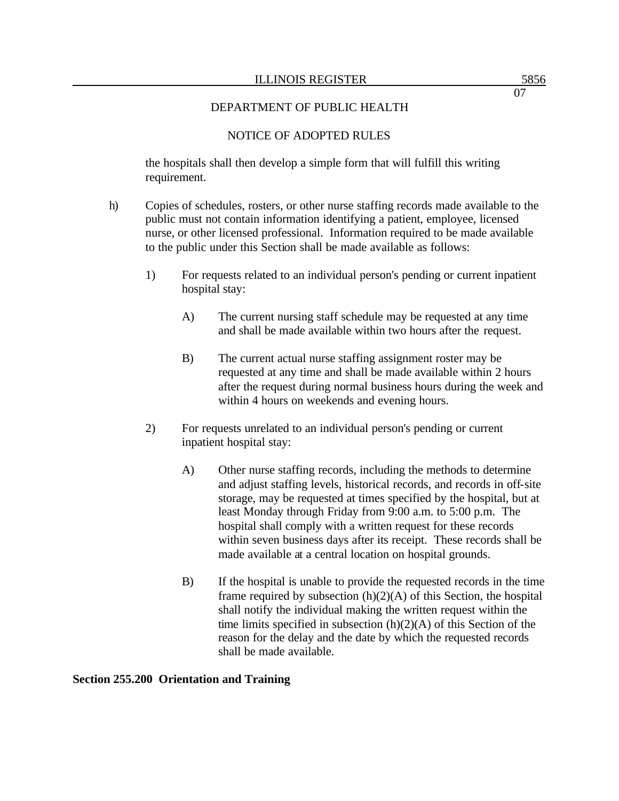## NOTICE OF ADOPTED RULES

the hospitals shall then develop a simple form that will fulfill this writing requirement.

- h) Copies of schedules, rosters, or other nurse staffing records made available to the public must not contain information identifying a patient, employee, licensed nurse, or other licensed professional. Information required to be made available to the public under this Section shall be made available as follows:
	- 1) For requests related to an individual person's pending or current inpatient hospital stay:
		- A) The current nursing staff schedule may be requested at any time and shall be made available within two hours after the request.
		- B) The current actual nurse staffing assignment roster may be requested at any time and shall be made available within 2 hours after the request during normal business hours during the week and within 4 hours on weekends and evening hours.
	- 2) For requests unrelated to an individual person's pending or current inpatient hospital stay:
		- A) Other nurse staffing records, including the methods to determine and adjust staffing levels, historical records, and records in off-site storage, may be requested at times specified by the hospital, but at least Monday through Friday from 9:00 a.m. to 5:00 p.m. The hospital shall comply with a written request for these records within seven business days after its receipt. These records shall be made available at a central location on hospital grounds.
		- B) If the hospital is unable to provide the requested records in the time frame required by subsection  $(h)(2)(A)$  of this Section, the hospital shall notify the individual making the written request within the time limits specified in subsection (h)(2)(A) of this Section of the reason for the delay and the date by which the requested records shall be made available.

#### **Section 255.200 Orientation and Training**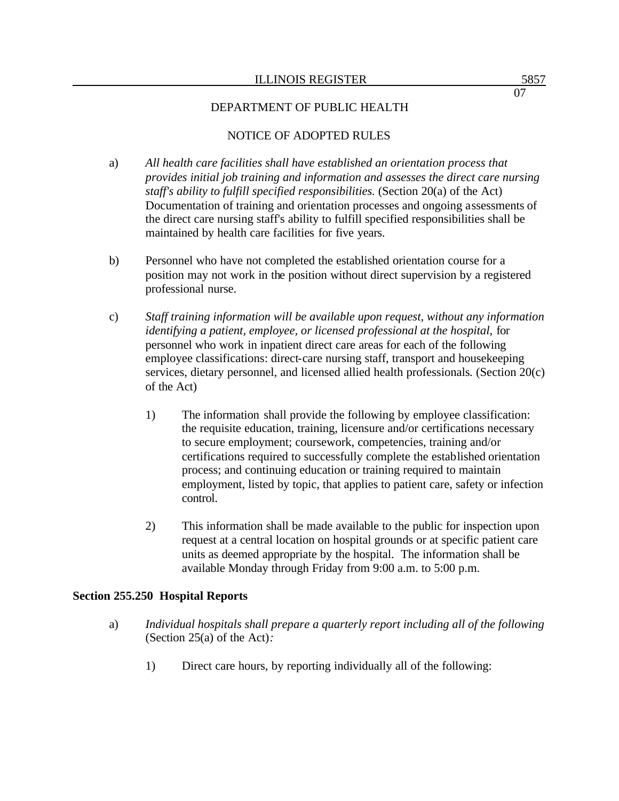# NOTICE OF ADOPTED RULES

- a) *All health care facilities shall have established an orientation process that provides initial job training and information and assesses the direct care nursing staff's ability to fulfill specified responsibilities.* (Section 20(a) of the Act) Documentation of training and orientation processes and ongoing assessments of the direct care nursing staff's ability to fulfill specified responsibilities shall be maintained by health care facilities for five years.
- b) Personnel who have not completed the established orientation course for a position may not work in the position without direct supervision by a registered professional nurse.
- c) *Staff training information will be available upon request, without any information identifying a patient, employee, or licensed professional at the hospital, for* personnel who work in inpatient direct care areas for each of the following employee classifications: direct-care nursing staff, transport and housekeeping services, dietary personnel, and licensed allied health professionals*.* (Section 20(c) of the Act)
	- 1) The information shall provide the following by employee classification: the requisite education, training, licensure and/or certifications necessary to secure employment; coursework, competencies, training and/or certifications required to successfully complete the established orientation process; and continuing education or training required to maintain employment, listed by topic, that applies to patient care, safety or infection control.
	- 2) This information shall be made available to the public for inspection upon request at a central location on hospital grounds or at specific patient care units as deemed appropriate by the hospital. The information shall be available Monday through Friday from 9:00 a.m. to 5:00 p.m.

## **Section 255.250 Hospital Reports**

- a) *Individual hospitals shall prepare a quarterly report including all of the following* (Section 25(a) of the Act)*:* 
	- 1) Direct care hours, by reporting individually all of the following: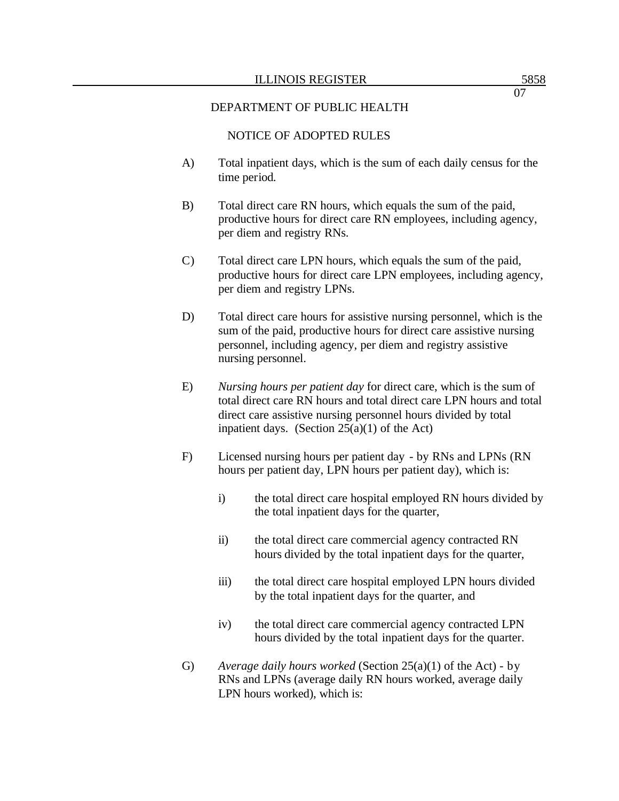### NOTICE OF ADOPTED RULES

- A) Total inpatient days, which is the sum of each daily census for the time period.
- B) Total direct care RN hours, which equals the sum of the paid, productive hours for direct care RN employees, including agency, per diem and registry RNs.
- C) Total direct care LPN hours, which equals the sum of the paid, productive hours for direct care LPN employees, including agency, per diem and registry LPNs.
- D) Total direct care hours for assistive nursing personnel, which is the sum of the paid, productive hours for direct care assistive nursing personnel, including agency, per diem and registry assistive nursing personnel.
- E) *Nursing hours per patient day* for direct care, which is the sum of total direct care RN hours and total direct care LPN hours and total direct care assistive nursing personnel hours divided by total inpatient days. (Section  $25(a)(1)$  of the Act)
- F) Licensed nursing hours per patient day by RNs and LPNs (RN hours per patient day, LPN hours per patient day), which is:
	- i) the total direct care hospital employed RN hours divided by the total inpatient days for the quarter,
	- ii) the total direct care commercial agency contracted RN hours divided by the total inpatient days for the quarter,
	- iii) the total direct care hospital employed LPN hours divided by the total inpatient days for the quarter, and
	- iv) the total direct care commercial agency contracted LPN hours divided by the total inpatient days for the quarter.
- G) *Average daily hours worked* (Section 25(a)(1) of the Act) by RNs and LPNs (average daily RN hours worked, average daily LPN hours worked), which is: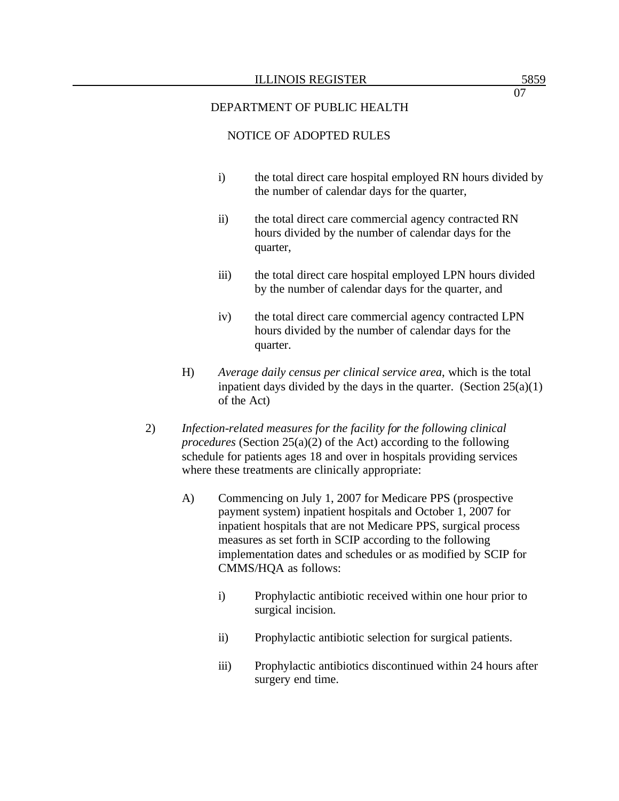## NOTICE OF ADOPTED RULES

- i) the total direct care hospital employed RN hours divided by the number of calendar days for the quarter,
- ii) the total direct care commercial agency contracted RN hours divided by the number of calendar days for the quarter,
- iii) the total direct care hospital employed LPN hours divided by the number of calendar days for the quarter, and
- iv) the total direct care commercial agency contracted LPN hours divided by the number of calendar days for the quarter.
- H) *Average daily census per clinical service area*, which is the total inpatient days divided by the days in the quarter. (Section  $25(a)(1)$ ) of the Act)
- 2) *Infection-related measures for the facility for the following clinical procedures* (Section 25(a)(2) of the Act) according to the following schedule for patients ages 18 and over in hospitals providing services where these treatments are clinically appropriate:
	- A) Commencing on July 1, 2007 for Medicare PPS (prospective payment system) inpatient hospitals and October 1, 2007 for inpatient hospitals that are not Medicare PPS, surgical process measures as set forth in SCIP according to the following implementation dates and schedules or as modified by SCIP for CMMS/HQA as follows:
		- i) Prophylactic antibiotic received within one hour prior to surgical incision.
		- ii) Prophylactic antibiotic selection for surgical patients.
		- iii) Prophylactic antibiotics discontinued within 24 hours after surgery end time.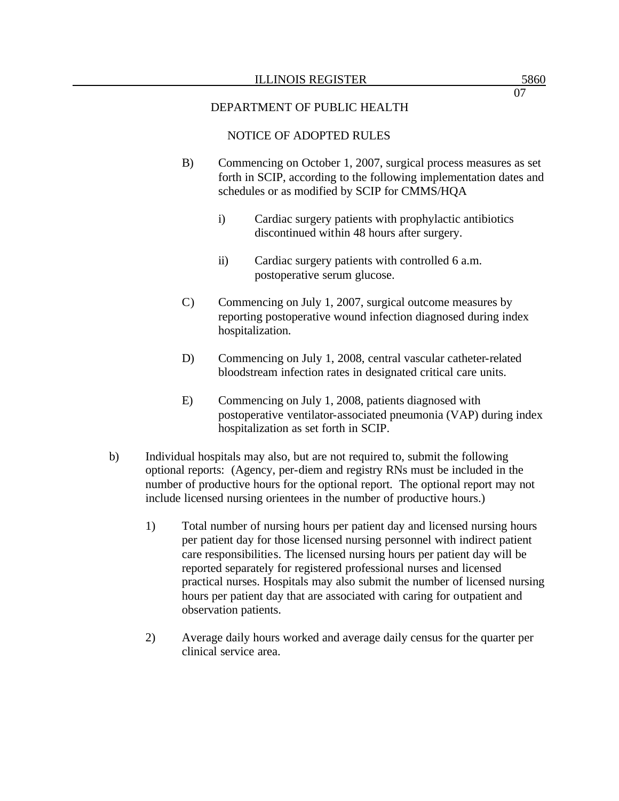# NOTICE OF ADOPTED RULES

- B) Commencing on October 1, 2007, surgical process measures as set forth in SCIP, according to the following implementation dates and schedules or as modified by SCIP for CMMS/HQA
	- i) Cardiac surgery patients with prophylactic antibiotics discontinued within 48 hours after surgery.
	- ii) Cardiac surgery patients with controlled 6 a.m. postoperative serum glucose.
- C) Commencing on July 1, 2007, surgical outcome measures by reporting postoperative wound infection diagnosed during index hospitalization.
- D) Commencing on July 1, 2008, central vascular catheter-related bloodstream infection rates in designated critical care units.
- E) Commencing on July 1, 2008, patients diagnosed with postoperative ventilator-associated pneumonia (VAP) during index hospitalization as set forth in SCIP.
- b) Individual hospitals may also, but are not required to, submit the following optional reports: (Agency, per-diem and registry RNs must be included in the number of productive hours for the optional report. The optional report may not include licensed nursing orientees in the number of productive hours.)
	- 1) Total number of nursing hours per patient day and licensed nursing hours per patient day for those licensed nursing personnel with indirect patient care responsibilities. The licensed nursing hours per patient day will be reported separately for registered professional nurses and licensed practical nurses. Hospitals may also submit the number of licensed nursing hours per patient day that are associated with caring for outpatient and observation patients.
	- 2) Average daily hours worked and average daily census for the quarter per clinical service area.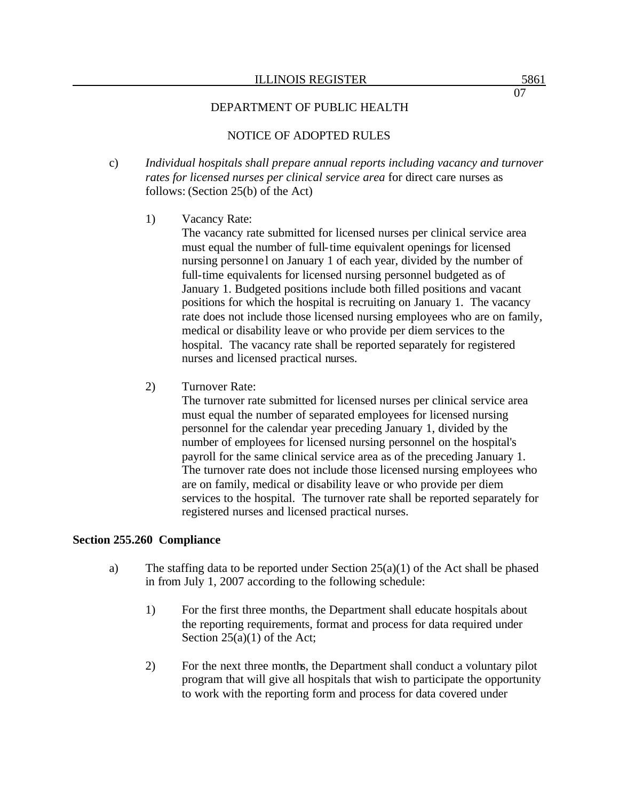# NOTICE OF ADOPTED RULES

- c) *Individual hospitals shall prepare annual reports including vacancy and turnover rates for licensed nurses per clinical service area* for direct care nurses as follows: (Section 25(b) of the Act)
	- 1) Vacancy Rate:

The vacancy rate submitted for licensed nurses per clinical service area must equal the number of full-time equivalent openings for licensed nursing personne l on January 1 of each year, divided by the number of full-time equivalents for licensed nursing personnel budgeted as of January 1. Budgeted positions include both filled positions and vacant positions for which the hospital is recruiting on January 1. The vacancy rate does not include those licensed nursing employees who are on family, medical or disability leave or who provide per diem services to the hospital. The vacancy rate shall be reported separately for registered nurses and licensed practical nurses.

2) Turnover Rate:

The turnover rate submitted for licensed nurses per clinical service area must equal the number of separated employees for licensed nursing personnel for the calendar year preceding January 1, divided by the number of employees for licensed nursing personnel on the hospital's payroll for the same clinical service area as of the preceding January 1. The turnover rate does not include those licensed nursing employees who are on family, medical or disability leave or who provide per diem services to the hospital. The turnover rate shall be reported separately for registered nurses and licensed practical nurses.

#### **Section 255.260 Compliance**

- a) The staffing data to be reported under Section  $25(a)(1)$  of the Act shall be phased in from July 1, 2007 according to the following schedule:
	- 1) For the first three months, the Department shall educate hospitals about the reporting requirements, format and process for data required under Section  $25(a)(1)$  of the Act;
	- 2) For the next three months, the Department shall conduct a voluntary pilot program that will give all hospitals that wish to participate the opportunity to work with the reporting form and process for data covered under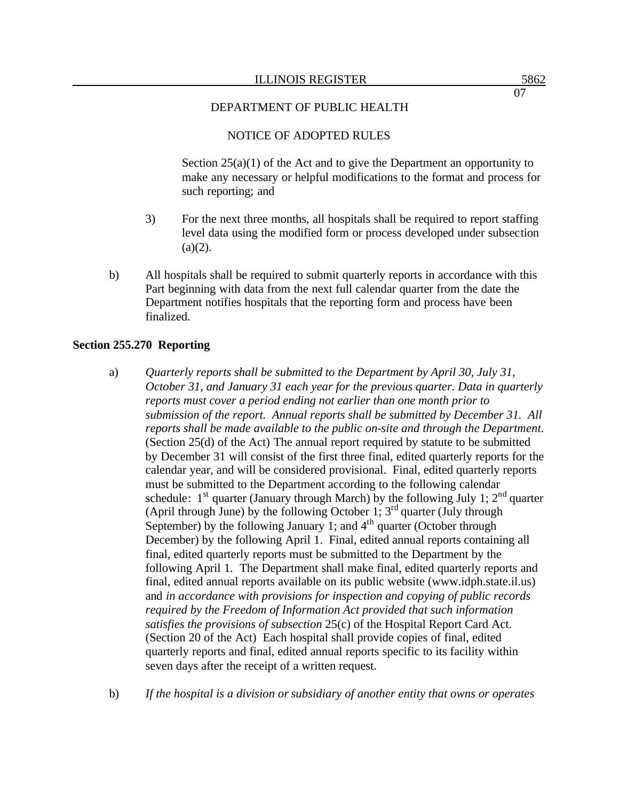## NOTICE OF ADOPTED RULES

Section  $25(a)(1)$  of the Act and to give the Department an opportunity to make any necessary or helpful modifications to the format and process for such reporting; and

- 3) For the next three months, all hospitals shall be required to report staffing level data using the modified form or process developed under subsection  $(a)(2)$ .
- b) All hospitals shall be required to submit quarterly reports in accordance with this Part beginning with data from the next full calendar quarter from the date the Department notifies hospitals that the reporting form and process have been finalized.

#### **Section 255.270 Reporting**

- a) *Quarterly reports shall be submitted to the Department by April 30, July 31, October 31, and January 31 each year for the previous quarter. Data in quarterly reports must cover a period ending not earlier than one month prior to submission of the report. Annual reports shall be submitted by December 31. All reports shall be made available to the public on-site and through the Department.*  (Section 25(d) of the Act) The annual report required by statute to be submitted by December 31 will consist of the first three final, edited quarterly reports for the calendar year, and will be considered provisional. Final, edited quarterly reports must be submitted to the Department according to the following calendar schedule:  $1^{st}$  quarter (January through March) by the following July 1;  $2^{nd}$  quarter (April through June) by the following October 1;  $3<sup>rd</sup>$  quarter (July through September) by the following January 1; and  $4<sup>th</sup>$  quarter (October through December) by the following April 1. Final, edited annual reports containing all final, edited quarterly reports must be submitted to the Department by the following April 1. The Department shall make final, edited quarterly reports and final, edited annual reports available on its public website (www.idph.state.il.us) and *in accordance with provisions for inspection and copying of public records required by the Freedom of Information Act provided that such information satisfies the provisions of subsection* 25(c) of the Hospital Report Card Act. (Section 20 of the Act) Each hospital shall provide copies of final, edited quarterly reports and final, edited annual reports specific to its facility within seven days after the receipt of a written request.
- b) *If the hospital is a division or subsidiary of another entity that owns or operates*